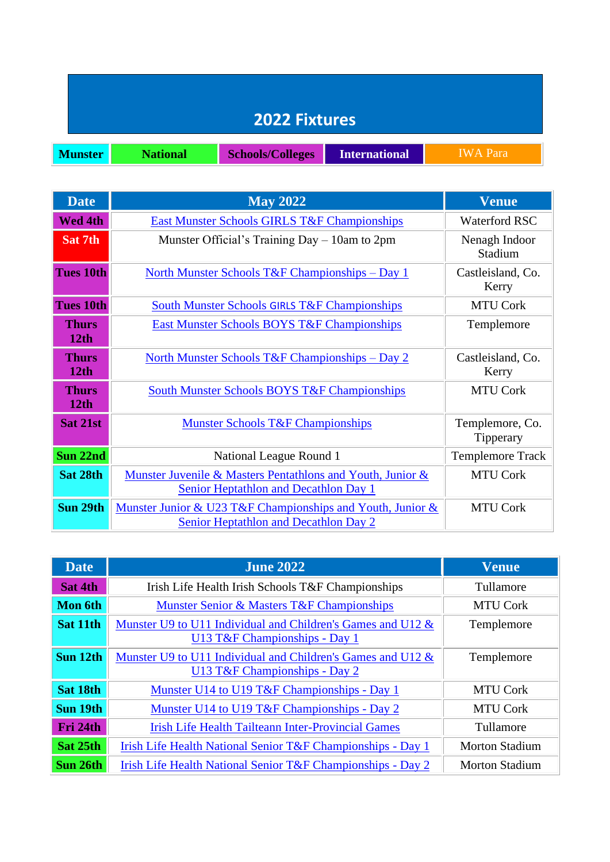|                | <b>2022 Fixtures</b> |                         |                      |                 |
|----------------|----------------------|-------------------------|----------------------|-----------------|
| <b>Munster</b> | <b>National</b>      | <b>Schools/Colleges</b> | <b>International</b> | <b>IWA</b> Para |

Ξī.

the control of the control of the control of the control of the control of

| <b>Date</b>                      | <b>May 2022</b>                                                                                            | <b>Venue</b>                 |
|----------------------------------|------------------------------------------------------------------------------------------------------------|------------------------------|
| <b>Wed 4th</b>                   | <b>East Munster Schools GIRLS T&amp;F Championships</b>                                                    | <b>Waterford RSC</b>         |
| Sat 7th                          | Munster Official's Training Day $-10$ am to 2pm                                                            | Nenagh Indoor<br>Stadium     |
| <b>Tues 10th</b>                 | North Munster Schools T&F Championships – Day 1                                                            | Castleisland, Co.<br>Kerry   |
| <b>Tues 10th</b>                 | <b>South Munster Schools GIRLS T&amp;F Championships</b>                                                   | <b>MTU Cork</b>              |
| <b>Thurs</b><br>12 <sub>th</sub> | <b>East Munster Schools BOYS T&amp;F Championships</b>                                                     | Templemore                   |
| <b>Thurs</b><br>12th             | <u> North Munster Schools T&amp;F Championships – Day 2</u>                                                | Castleisland, Co.<br>Kerry   |
| <b>Thurs</b><br>12th             | <b>South Munster Schools BOYS T&amp;F Championships</b>                                                    | <b>MTU Cork</b>              |
| Sat 21st                         | <b>Munster Schools T&amp;F Championships</b>                                                               | Templemore, Co.<br>Tipperary |
| Sun 22nd                         | National League Round 1                                                                                    | <b>Templemore Track</b>      |
| Sat 28th                         | Munster Juvenile & Masters Pentathlons and Youth, Junior &<br>Senior Heptathlon and Decathlon Day 1        | <b>MTU Cork</b>              |
| Sun 29th                         | Munster Junior & U23 T&F Championships and Youth, Junior &<br><b>Senior Heptathlon and Decathlon Day 2</b> | <b>MTU Cork</b>              |

| <b>Date</b>    | <b>June 2022</b>                                                                             | <b>Venue</b>          |
|----------------|----------------------------------------------------------------------------------------------|-----------------------|
| Sat 4th        | Irish Life Health Irish Schools T&F Championships                                            | Tullamore             |
| <b>Mon 6th</b> | Munster Senior & Masters T&F Championships                                                   | <b>MTU Cork</b>       |
| Sat 11th       | Munster U9 to U11 Individual and Children's Games and U12 &<br>U13 T&F Championships - Day 1 | Templemore            |
| Sun 12th       | Munster U9 to U11 Individual and Children's Games and U12 &<br>U13 T&F Championships - Day 2 | Templemore            |
| Sat 18th       | Munster U14 to U19 T&F Championships - Day 1                                                 | <b>MTU Cork</b>       |
| Sun 19th       | Munster U14 to U19 T&F Championships - Day 2                                                 | <b>MTU Cork</b>       |
| Fri 24th       | <b>Irish Life Health Tailteann Inter-Provincial Games</b>                                    | Tullamore             |
| Sat 25th       | Irish Life Health National Senior T&F Championships - Day 1                                  | <b>Morton Stadium</b> |
| Sun 26th       | Irish Life Health National Senior T&F Championships - Day 2                                  | <b>Morton Stadium</b> |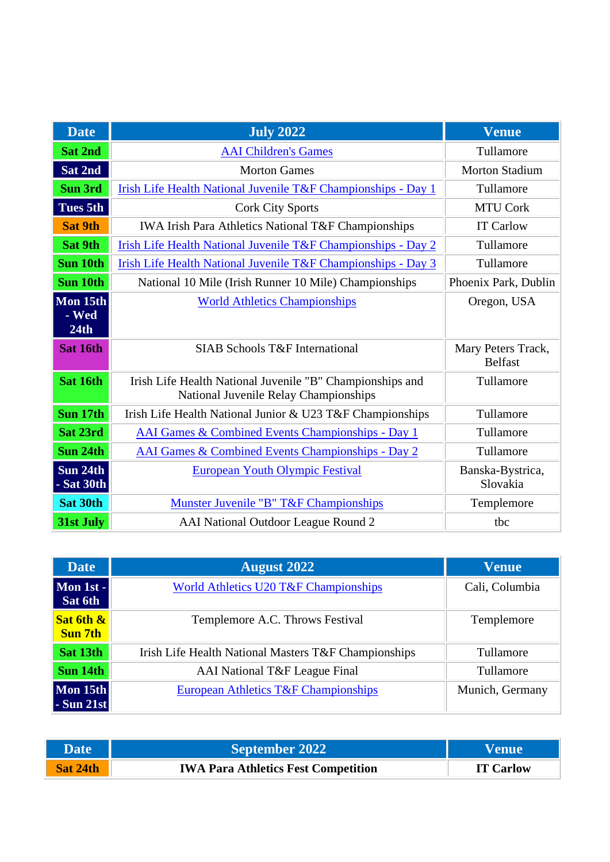| <b>Date</b>               | <b>July 2022</b>                                                                                   | <b>Venue</b>                         |
|---------------------------|----------------------------------------------------------------------------------------------------|--------------------------------------|
| <b>Sat 2nd</b>            | <b>AAI</b> Children's Games                                                                        | Tullamore                            |
| Sat 2nd                   | <b>Morton Games</b>                                                                                | <b>Morton Stadium</b>                |
| <b>Sun 3rd</b>            | Irish Life Health National Juvenile T&F Championships - Day 1                                      | Tullamore                            |
| <b>Tues 5th</b>           | <b>Cork City Sports</b>                                                                            | <b>MTU Cork</b>                      |
| <b>Sat 9th</b>            | IWA Irish Para Athletics National T&F Championships                                                | <b>IT Carlow</b>                     |
| <b>Sat 9th</b>            | Irish Life Health National Juvenile T&F Championships - Day 2                                      | Tullamore                            |
| Sun 10th                  | Irish Life Health National Juvenile T&F Championships - Day 3                                      | Tullamore                            |
| Sun 10th                  | National 10 Mile (Irish Runner 10 Mile) Championships                                              | Phoenix Park, Dublin                 |
| Mon 15th<br>- Wed<br>24th | <b>World Athletics Championships</b>                                                               | Oregon, USA                          |
| Sat 16th                  | <b>SIAB Schools T&amp;F International</b>                                                          | Mary Peters Track,<br><b>Belfast</b> |
| Sat 16th                  | Irish Life Health National Juvenile "B" Championships and<br>National Juvenile Relay Championships | Tullamore                            |
| Sun 17th                  | Irish Life Health National Junior & U23 T&F Championships                                          | Tullamore                            |
| Sat 23rd                  | AAI Games & Combined Events Championships - Day 1                                                  | Tullamore                            |
| Sun 24th                  | <b>AAI Games &amp; Combined Events Championships - Day 2</b>                                       | Tullamore                            |
| Sun 24th<br>- Sat $30th$  | <b>European Youth Olympic Festival</b>                                                             | Banska-Bystrica,<br>Slovakia         |
| Sat 30th                  | Munster Juvenile "B" T&F Championships                                                             | Templemore                           |
| 31st July                 | AAI National Outdoor League Round 2                                                                | tbc                                  |

| <b>Date</b>                                                | <b>August 2022</b>                                   | <b>Venue</b>    |
|------------------------------------------------------------|------------------------------------------------------|-----------------|
| Mon 1st -<br>Sat 6th                                       | <b>World Athletics U20 T&amp;F Championships</b>     | Cali, Columbia  |
| Sat 6th &<br><b>Sun 7th</b>                                | Templemore A.C. Throws Festival                      | Templemore      |
| Sat 13th                                                   | Irish Life Health National Masters T&F Championships | Tullamore       |
| Sun 14th                                                   | AAI National T&F League Final                        | Tullamore       |
| $\overline{\text{Mon}}$ 15th<br>$\vert$ - Sun 21st $\vert$ | European Athletics T&F Championships                 | Munich, Germany |

| <b>Date</b> | <b>September 2022</b>                      | Venue            |
|-------------|--------------------------------------------|------------------|
| Sat 24th    | <b>IWA Para Athletics Fest Competition</b> | <b>IT Carlow</b> |